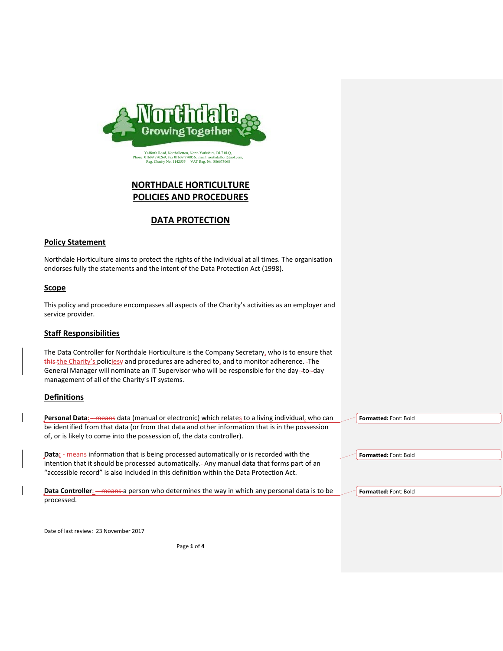

**NORTHDALE HORTICULTURE POLICIES AND PROCEDURES**

# **DATA PROTECTION**

## **Policy Statement**

Northdale Horticulture aims to protect the rights of the individual at all times. The organisation endorses fully the statements and the intent of the Data Protection Act (1998).

### **Scope**

This policy and procedure encompasses all aspects of the Charity's activities as an employer and service provider.

### **Staff Responsibilities**

The Data Controller for Northdale Horticulture is the Company Secretary, who is to ensure that this the Charity's policiesy and procedures are adhered to, and to monitor adherence. - The General Manager will nominate an IT Supervisor who will be responsible for the day-to-day management of all of the Charity's IT systems.

### **Definitions**

Personal Data<sub>:</sub> - means data (manual or electronic) which relates to a living individual, who can be identified from that data (or from that data and other information that is in the possession of, or is likely to come into the possession of, the data controller).

**Data:** means information that is being processed automatically or is recorded with the intention that it should be processed automatically. Any manual data that forms part of an "accessible record" is also included in this definition within the Data Protection Act.

**Data Controller:** - means a person who determines the way in which any personal data is to be processed.

**Formatted:** Font: Bold

**Formatted:** Font: Bold

**Formatted:** Font: Bold

Date of last review: 23 November 2017

Page **1** of **4**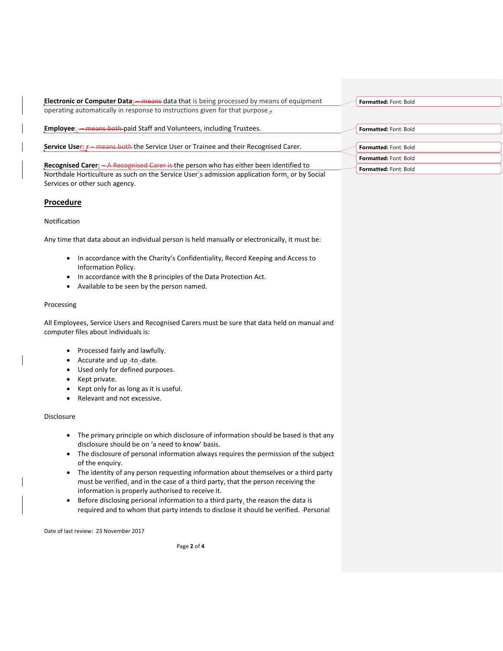| <b>Electronic or Computer Data:</b> <del>- means</del> data that is being processed by means of equipment                                                                               | Formatted: Font: Bold        |
|-----------------------------------------------------------------------------------------------------------------------------------------------------------------------------------------|------------------------------|
| operating automatically in response to instructions given for that purpose. $\frac{1}{2}$                                                                                               |                              |
| <b>Employee:</b> - means both paid Staff and Volunteers, including Trustees.                                                                                                            | Formatted: Font: Bold        |
| Service User: E means both the Service User or Trainee and their Recognised Carer.                                                                                                      | Formatted: Font: Bold        |
|                                                                                                                                                                                         | <b>Formatted: Font: Bold</b> |
| Recognised Carer: - A Recognised Carer is the person who has either been identified to<br>Northdale Horticulture as such on the Service User's admission application form, or by Social | Formatted: Font: Bold        |
| Services or other such agency.                                                                                                                                                          |                              |

### **Procedure**

### Notification

Any time that data about an individual person is held manually or electronically, it must be:

- In accordance with the Charity's Confidentiality, Record Keeping and Access to Information Policy.
- In accordance with the 8 principles of the Data Protection Act.
- Available to be seen by the person named.

#### Processing

All Employees, Service Users and Recognised Carers must be sure that data held on manual and computer files about individuals is:

- Processed fairly and lawfully.
- Accurate and up\_-to\_-date.
- Used only for defined purposes.
- Kept private.
- Kept only for as long as it is useful.
- Relevant and not excessive.

### Disclosure

- The primary principle on which disclosure of information should be based is that any disclosure should be on 'a need to know' basis.
- The disclosure of personal information always requires the permission of the subject of the enquiry.
- The identity of any person requesting information about themselves or a third party must be verified, and in the case of a third party, that the person receiving the information is properly authorised to receive it.
- Before disclosing personal information to a third party, the reason the data is required and to whom that party intends to disclose it should be verified. Personal

Date of last review: 23 November 2017

Page **2** of **4**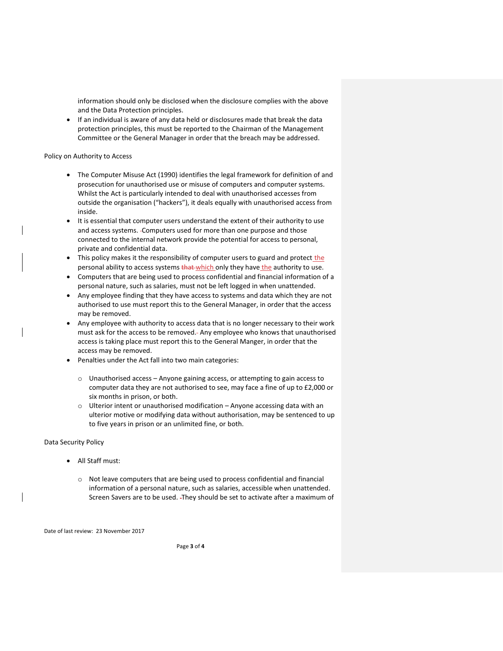information should only be disclosed when the disclosure complies with the above and the Data Protection principles.

• If an individual is aware of any data held or disclosures made that break the data protection principles, this must be reported to the Chairman of the Management Committee or the General Manager in order that the breach may be addressed.

#### Policy on Authority to Access

- The Computer Misuse Act (1990) identifies the legal framework for definition of and prosecution for unauthorised use or misuse of computers and computer systems. Whilst the Act is particularly intended to deal with unauthorised accesses from outside the organisation ("hackers"), it deals equally with unauthorised access from inside.
- It is essential that computer users understand the extent of their authority to use and access systems. Computers used for more than one purpose and those connected to the internal network provide the potential for access to personal, private and confidential data.
- This policy makes it the responsibility of computer users to guard and protect the personal ability to access systems that which only they have the authority to use.
- Computers that are being used to process confidential and financial information of a personal nature, such as salaries, must not be left logged in when unattended.
- Any employee finding that they have access to systems and data which they are not authorised to use must report this to the General Manager, in order that the access may be removed.
- Any employee with authority to access data that is no longer necessary to their work must ask for the access to be removed. Any employee who knows that unauthorised access is taking place must report this to the General Manger, in order that the access may be removed.
- Penalties under the Act fall into two main categories:
	- o Unauthorised access Anyone gaining access, or attempting to gain access to computer data they are not authorised to see, may face a fine of up to £2,000 or six months in prison, or both.
	- o Ulterior intent or unauthorised modification Anyone accessing data with an ulterior motive or modifying data without authorisation, may be sentenced to up to five years in prison or an unlimited fine, or both.

#### Data Security Policy

- All Staff must:
	- o Not leave computers that are being used to process confidential and financial information of a personal nature, such as salaries, accessible when unattended. Screen Savers are to be used. They should be set to activate after a maximum of

Date of last review: 23 November 2017

Page **3** of **4**